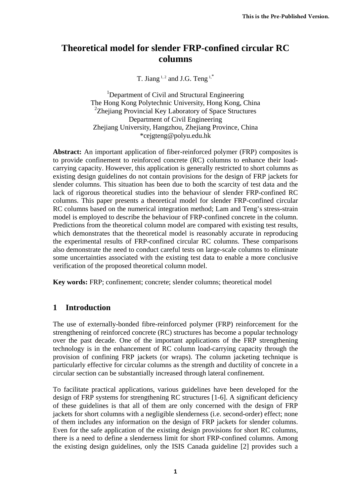# **Theoretical model for slender FRP-confined circular RC columns**

T. Jiang<sup>1,2</sup> and J.G. Teng<sup>1,\*</sup>

<sup>1</sup>Department of Civil and Structural Engineering The Hong Kong Polytechnic University, Hong Kong, China <sup>2</sup>Zhejiang Provincial Key Laboratory of Space Structures Department of Civil Engineering Zhejiang University, Hangzhou, Zhejiang Province, China \*cejgteng@polyu.edu.hk

**Abstract:** An important application of fiber-reinforced polymer (FRP) composites is to provide confinement to reinforced concrete (RC) columns to enhance their loadcarrying capacity. However, this application is generally restricted to short columns as existing design guidelines do not contain provisions for the design of FRP jackets for slender columns. This situation has been due to both the scarcity of test data and the lack of rigorous theoretical studies into the behaviour of slender FRP-confined RC columns. This paper presents a theoretical model for slender FRP-confined circular RC columns based on the numerical integration method; Lam and Teng's stress-strain model is employed to describe the behaviour of FRP-confined concrete in the column. Predictions from the theoretical column model are compared with existing test results, which demonstrates that the theoretical model is reasonably accurate in reproducing the experimental results of FRP-confined circular RC columns. These comparisons also demonstrate the need to conduct careful tests on large-scale columns to eliminate some uncertainties associated with the existing test data to enable a more conclusive verification of the proposed theoretical column model.

**Key words:** FRP; confinement; concrete; slender columns; theoretical model

# **1 Introduction**

The use of externally-bonded fibre-reinforced polymer (FRP) reinforcement for the strengthening of reinforced concrete (RC) structures has become a popular technology over the past decade. One of the important applications of the FRP strengthening technology is in the enhancement of RC column load-carrying capacity through the provision of confining FRP jackets (or wraps). The column jacketing technique is particularly effective for circular columns as the strength and ductility of concrete in a circular section can be substantially increased through lateral confinement.

To facilitate practical applications, various guidelines have been developed for the design of FRP systems for strengthening RC structures [1-6]. A significant deficiency of these guidelines is that all of them are only concerned with the design of FRP jackets for short columns with a negligible slenderness (i.e. second-order) effect; none of them includes any information on the design of FRP jackets for slender columns. Even for the safe application of the existing design provisions for short RC columns, there is a need to define a slenderness limit for short FRP-confined columns. Among the existing design guidelines, only the ISIS Canada guideline [2] provides such a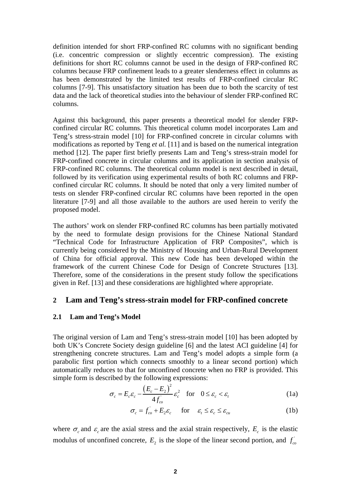definition intended for short FRP-confined RC columns with no significant bending (i.e. concentric compression or slightly eccentric compression). The existing definitions for short RC columns cannot be used in the design of FRP-confined RC columns because FRP confinement leads to a greater slenderness effect in columns as has been demonstrated by the limited test results of FRP-confined circular RC columns [7-9]. This unsatisfactory situation has been due to both the scarcity of test data and the lack of theoretical studies into the behaviour of slender FRP-confined RC columns.

Against this background, this paper presents a theoretical model for slender FRPconfined circular RC columns. This theoretical column model incorporates Lam and Teng's stress-strain model [10] for FRP-confined concrete in circular columns with modifications as reported by Teng *et al.* [11] and is based on the numerical integration method [12]. The paper first briefly presents Lam and Teng's stress-strain model for FRP-confined concrete in circular columns and its application in section analysis of FRP-confined RC columns. The theoretical column model is next described in detail, followed by its verification using experimental results of both RC columns and FRPconfined circular RC columns. It should be noted that only a very limited number of tests on slender FRP-confined circular RC columns have been reported in the open literature [7-9] and all those available to the authors are used herein to verify the proposed model.

The authors' work on slender FRP-confined RC columns has been partially motivated by the need to formulate design provisions for the Chinese National Standard "Technical Code for Infrastructure Application of FRP Composites", which is currently being considered by the Ministry of Housing and Urban-Rural Development of China for official approval. This new Code has been developed within the framework of the current Chinese Code for Design of Concrete Structures [13]. Therefore, some of the considerations in the present study follow the specifications given in Ref. [13] and these considerations are highlighted where appropriate.

## **2 Lam and Teng's stress-strain model for FRP-confined concrete**

### **2.1 Lam and Teng's Model**

The original version of Lam and Teng's stress-strain model [10] has been adopted by both UK's Concrete Society design guideline [6] and the latest ACI guideline [4] for strengthening concrete structures. Lam and Teng's model adopts a simple form (a parabolic first portion which connects smoothly to a linear second portion) which automatically reduces to that for unconfined concrete when no FRP is provided. This simple form is described by the following expressions:

$$
\sigma_c = E_c \varepsilon_c - \frac{\left(E_c - E_2\right)^2}{4f_{co}'} \varepsilon_c^2 \quad \text{for} \quad 0 \le \varepsilon_c < \varepsilon_t \tag{1a}
$$

$$
\sigma_c = f'_{co} + E_2 \varepsilon_c \quad \text{for} \quad \varepsilon_t \le \varepsilon_c \le \varepsilon_{cu} \tag{1b}
$$

where  $\sigma_c$  and  $\varepsilon_c$  are the axial stress and the axial strain respectively,  $E_c$  is the elastic modulus of unconfined concrete,  $E_2$  is the slope of the linear second portion, and  $f_{cc}$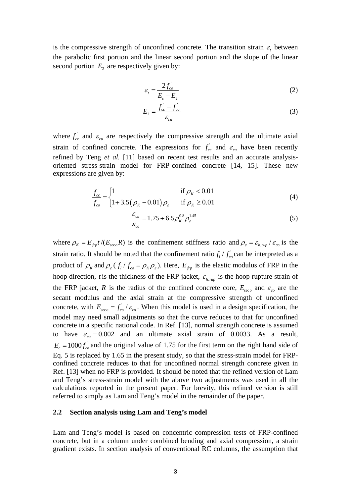is the compressive strength of unconfined concrete. The transition strain  $\varepsilon$  between the parabolic first portion and the linear second portion and the slope of the linear second portion  $E<sub>2</sub>$  are respectively given by:

$$
\varepsilon_t = \frac{2f_{co}'}{E_c - E_2} \tag{2}
$$

$$
E_2 = \frac{f_{cc}^{\prime} - f_{co}^{\prime}}{\varepsilon_{cu}}
$$
 (3)

where  $f_{cc}$  and  $\varepsilon_{cu}$  are respectively the compressive strength and the ultimate axial strain of confined concrete. The expressions for  $f_{cc}$  and  $\varepsilon_{cu}$  have been recently refined by Teng *et al.* [11] based on recent test results and an accurate analysisoriented stress-strain model for FRP-confined concrete [14, 15]. These new expressions are given by:

$$
\frac{f'_{cc}}{f'_{co}} = \begin{cases} 1 & \text{if } \rho_K < 0.01\\ 1 + 3.5(\rho_K - 0.01)\rho_{\varepsilon} & \text{if } \rho_K \ge 0.01 \end{cases}
$$
\n(4)

$$
\frac{\varepsilon_{cu}}{\varepsilon_{co}} = 1.75 + 6.5 \rho_K^{0.8} \rho_{\varepsilon}^{1.45}
$$
 (5)

where  $\rho_K = E_{\text{fpp}} t / (E_{\text{sec}o} R)$  is the confinement stiffness ratio and  $\rho_{\text{g}} = \varepsilon_{h,\text{rup}} / \varepsilon_{co}$  is the strain ratio. It should be noted that the confinement ratio  $f_i / f_{i}$  can be interpreted as a product of  $\rho_K$  and  $\rho_g$  ( $f_l / f_{co} = \rho_K \rho_g$ ). Here,  $E_{fp}$  is the elastic modulus of FRP in the hoop direction, *t* is the thickness of the FRP jacket,  $\varepsilon_{h, rw}$  is the hoop rupture strain of the FRP jacket, *R* is the radius of the confined concrete core,  $E_{\text{sec}\rho}$  and  $\varepsilon_{\text{co}}$  are the secant modulus and the axial strain at the compressive strength of unconfined concrete, with  $E_{\text{sec}o} = f_{\text{co}} / \varepsilon_{\text{co}}$ . When this model is used in a design specification, the to have  $\varepsilon_{co} = 0.002$  and an ultimate axial strain of 0.0033. As a result, model may need small adjustments so that the curve reduces to that for unconfined concrete in a specific national code. In Ref. [13], normal strength concrete is assumed  $E_c = 1000 f_{co}$  and the original value of 1.75 for the first term on the right hand side of Eq. 5 is replaced by 1.65 in the present study, so that the stress-strain model for FRPconfined concrete reduces to that for unconfined normal strength concrete given in Ref. [13] when no FRP is provided. It should be noted that the refined version of Lam and Teng's stress-strain model with the above two adjustments was used in all the calculations reported in the present paper. For brevity, this refined version is still referred to simply as Lam and Teng's model in the remainder of the paper.

#### **2.2 Section analysis using Lam and Teng's model**

Lam and Teng's model is based on concentric compression tests of FRP-confined concrete, but in a column under combined bending and axial compression, a strain gradient exists. In section analysis of conventional RC columns, the assumption that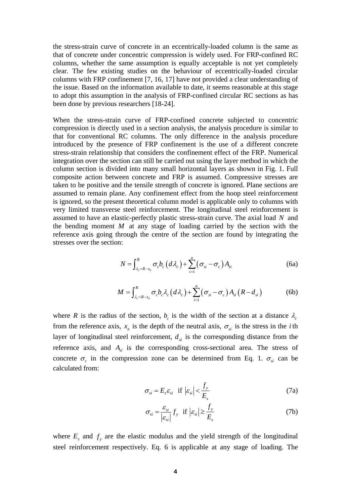the stress-strain curve of concrete in an eccentrically-loaded column is the same as that of concrete under concentric compression is widely used. For FRP-confined RC columns, whether the same assumption is equally acceptable is not yet completely clear. The few existing studies on the behaviour of eccentrically-loaded circular columns with FRP confinement [7, 16, 17] have not provided a clear understanding of the issue. Based on the information available to date, it seems reasonable at this stage to adopt this assumption in the analysis of FRP-confined circular RC sections as has been done by previous researchers [18-24].

When the stress-strain curve of FRP-confined concrete subjected to concentric compression is directly used in a section analysis, the analysis procedure is similar to that for conventional RC columns. The only difference in the analysis procedure introduced by the presence of FRP confinement is the use of a different concrete stress-strain relationship that considers the confinement effect of the FRP. Numerical integration over the section can still be carried out using the layer method in which the column section is divided into many small horizontal layers as shown in Fig. 1. Full composite action between concrete and FRP is assumed. Compressive stresses are taken to be positive and the tensile strength of concrete is ignored. Plane sections are assumed to remain plane. Any confinement effect from the hoop steel reinforcement is ignored, so the present theoretical column model is applicable only to columns with very limited transverse steel reinforcement. The longitudinal steel reinforcement is assumed to have an elastic-perfectly plastic stress-strain curve. The axial load  $N$  and the bending moment *M* at any stage of loading carried by the section with the reference axis going through the centre of the section are found by integrating the stresses over the section:

$$
N = \int_{\lambda_c = R - x_n}^{R} \sigma_c b_c \left( d\lambda_c \right) + \sum_{i=1}^{n} \left( \sigma_{si} - \sigma_c \right) A_{si}
$$
 (6a)

$$
M = \int_{\lambda_c = R - x_n}^{R} \sigma_c b_c \lambda_c (d\lambda_c) + \sum_{i=1}^{n} (\sigma_{si} - \sigma_c) A_{si} (R - d_{si})
$$
 (6b)

where *R* is the radius of the section,  $b_c$  is the width of the section at a distance  $\lambda_c$ from the reference axis,  $x_n$  is the depth of the neutral axis,  $\sigma_{si}$  is the stress in the *i* th layer of longitudinal steel reinforcement,  $d_{si}$  is the corresponding distance from the reference axis, and  $A_{si}$  is the corresponding cross-sectional area. The stress of concrete  $\sigma_c$  in the compression zone can be determined from Eq. 1.  $\sigma_{si}$  can be calculated from:

$$
\sigma_{si} = E_s \varepsilon_{si} \quad \text{if } \left| \varepsilon_{si} \right| < \frac{f_y}{E_s} \tag{7a}
$$

$$
\sigma_{si} = \frac{\varepsilon_{si}}{|\varepsilon_{si}|} f_y \quad \text{if } |\varepsilon_{si}| \ge \frac{f_y}{E_s} \tag{7b}
$$

where  $E_s$  and  $f_y$  are the elastic modulus and the yield strength of the longitudinal steel reinforcement respectively. Eq. 6 is applicable at any stage of loading. The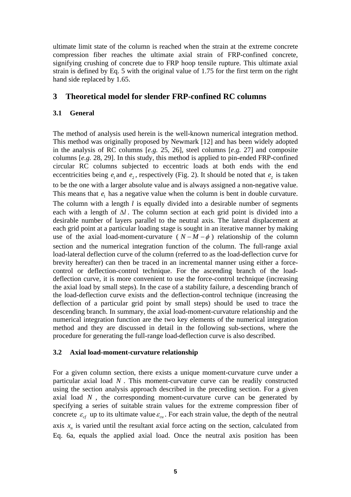ultimate limit state of the column is reached when the strain at the extreme concrete compression fiber reaches the ultimate axial strain of FRP-confined concrete, signifying crushing of concrete due to FRP hoop tensile rupture. This ultimate axial strain is defined by Eq. 5 with the original value of 1.75 for the first term on the right hand side replaced by 1.65.

# **3 Theoretical model for slender FRP-confined RC columns**

# **3.1 General**

The method of analysis used herein is the well-known numerical integration method. This method was originally proposed by Newmark [12] and has been widely adopted in the analysis of RC columns [*e.g.* 25, 26], steel columns [*e.g.* 27] and composite columns [*e.g.* 28, 29]. In this study, this method is applied to pin-ended FRP-confined circular RC columns subjected to eccentric loads at both ends with the end eccentricities being  $e_1$  and  $e_2$ , respectively (Fig. 2). It should be noted that  $e_2$  is taken to be the one with a larger absolute value and is always assigned a non-negative value. This means that  $e_1$  has a negative value when the column is bent in double curvature. The column with a length *l* is equally divided into a desirable number of segments each with a length of  $\Delta l$ . The column section at each grid point is divided into a desirable number of layers parallel to the neutral axis. The lateral displacement at each grid point at a particular loading stage is sought in an iterative manner by making use of the axial load-moment-curvature ( $N-M-\phi$ ) relationship of the column section and the numerical integration function of the column. The full-range axial load-lateral deflection curve of the column (referred to as the load-deflection curve for brevity hereafter) can then be traced in an incremental manner using either a forcecontrol or deflection-control technique. For the ascending branch of the loaddeflection curve, it is more convenient to use the force-control technique (increasing the axial load by small steps). In the case of a stability failure, a descending branch of the load-deflection curve exists and the deflection-control technique (increasing the deflection of a particular grid point by small steps) should be used to trace the descending branch. In summary, the axial load-moment-curvature relationship and the numerical integration function are the two key elements of the numerical integration method and they are discussed in detail in the following sub-sections, where the procedure for generating the full-range load-deflection curve is also described.

## **3.2 Axial load-moment-curvature relationship**

For a given column section, there exists a unique moment-curvature curve under a particular axial load *N* . This moment-curvature curve can be readily constructed using the section analysis approach described in the preceding section. For a given axial load *N* , the corresponding moment-curvature curve can be generated by specifying a series of suitable strain values for the extreme compression fiber of concrete  $\varepsilon_{cf}$  up to its ultimate value  $\varepsilon_{cu}$ . For each strain value, the depth of the neutral axis  $x_n$  is varied until the resultant axial force acting on the section, calculated from Eq. 6a, equals the applied axial load. Once the neutral axis position has been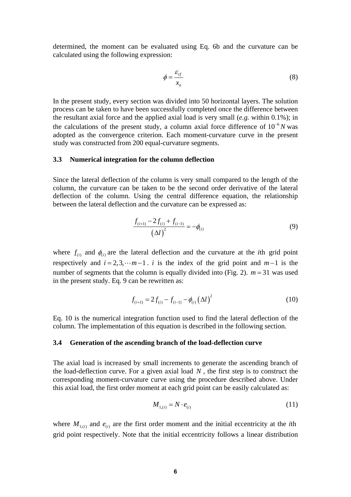determined, the moment can be evaluated using Eq. 6b and the curvature can be calculated using the following expression:

$$
\phi = \frac{\varepsilon_{cf}}{x_n} \tag{8}
$$

In the present study, every section was divided into 50 horizontal layers. The solution process can be taken to have been successfully completed once the difference between the resultant axial force and the applied axial load is very small (*e.g.* within 0.1%); in the calculations of the present study, a column axial force difference of  $10^{-6} N$  was adopted as the convergence criterion. Each moment-curvature curve in the present study was constructed from 200 equal-curvature segments.

### **3.3 Numerical integration for the column deflection**

Since the lateral deflection of the column is very small compared to the length of the column, the curvature can be taken to be the second order derivative of the lateral deflection of the column. Using the central difference equation, the relationship between the lateral deflection and the curvature can be expressed as:

$$
\frac{f_{(i+1)} - 2f_{(i)} + f_{(i-1)}}{\left(\Delta l\right)^2} = -\phi_{(i)}
$$
\n(9)

where  $f_{(i)}$  and  $\phi_{(i)}$  are the lateral deflection and the curvature at the *i*th grid point respectively and  $i = 2, 3, \dots m-1$ . *i* is the index of the grid point and  $m-1$  is the number of segments that the column is equally divided into (Fig. 2).  $m = 31$  was used in the present study. Eq. 9 can be rewritten as:

$$
f_{(i+1)} = 2f_{(i)} - f_{(i-1)} - \phi_{(i)} (\Delta l)^2
$$
\n(10)

Eq. 10 is the numerical integration function used to find the lateral deflection of the column. The implementation of this equation is described in the following section.

#### **3.4 Generation of the ascending branch of the load-deflection curve**

The axial load is increased by small increments to generate the ascending branch of the load-deflection curve. For a given axial load  $N$ , the first step is to construct the corresponding moment-curvature curve using the procedure described above. Under this axial load, the first order moment at each grid point can be easily calculated as:

$$
M_{1,(i)} = N \cdot e_{(i)} \tag{11}
$$

where  $M_{1,(i)}$  and  $e_{(i)}$  are the first order moment and the initial eccentricity at the *i*th grid point respectively. Note that the initial eccentricity follows a linear distribution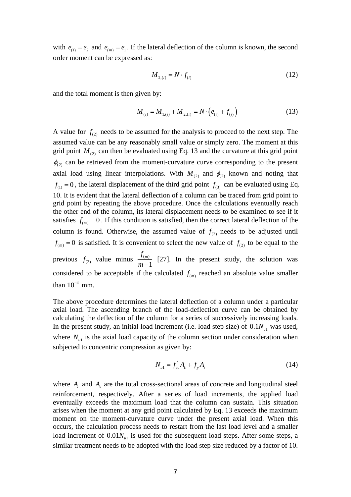with  $e_{(1)} = e_2$  and  $e_{(m)} = e_1$ . If the lateral deflection of the column is known, the second order moment can be expressed as:

$$
M_{2,(i)} = N \cdot f_{(i)}
$$
 (12)

and the total moment is then given by:

$$
M_{(i)} = M_{1,(i)} + M_{2,(i)} = N \cdot \left(e_{(i)} + f_{(i)}\right)
$$
 (13)

A value for  $f_{(2)}$  needs to be assumed for the analysis to proceed to the next step. The assumed value can be any reasonably small value or simply zero. The moment at this grid point  $M_{(2)}$  can then be evaluated using Eq. 13 and the curvature at this grid point  $\phi_{(2)}$  can be retrieved from the moment-curvature curve corresponding to the present axial load using linear interpolations. With  $M_{(2)}$  and  $\phi_{(2)}$  known and noting that  $f_{(1)} = 0$ , the lateral displacement of the third grid point  $f_{(3)}$  can be evaluated using Eq. 10. It is evident that the lateral deflection of a column can be traced from grid point to grid point by repeating the above procedure. Once the calculations eventually reach the other end of the column, its lateral displacement needs to be examined to see if it satisfies  $f_{(m)} = 0$ . If this condition is satisfied, then the correct lateral deflection of the column is found. Otherwise, the assumed value of  $f_{(2)}$  needs to be adjusted until  $f_{(m)} = 0$  is satisfied. It is convenient to select the new value of  $f_{(2)}$  to be equal to the previous  $f_{(2)}$  value minus  $\frac{J(m)}{m-1}$  $f_{(m)}$  $\frac{f(m)}{m-1}$  [27]. In the present study, the solution was considered to be acceptable if the calculated  $f_{(m)}$  reached an absolute value smaller than  $10^{-4}$  mm.

where  $N_{u1}$  is the axial load capacity of the column section under consideration when The above procedure determines the lateral deflection of a column under a particular axial load. The ascending branch of the load-deflection curve can be obtained by calculating the deflection of the column for a series of successively increasing loads. In the present study, an initial load increment (i.e. load step size) of  $0.1 N_{ul}$  was used, subjected to concentric compression as given by:

$$
N_{u1} = f_{cc}^{'} A_c + f_y A_s \tag{14}
$$

where  $A_c$  and  $A_s$  are the total cross-sectional areas of concrete and longitudinal steel reinforcement, respectively. After a series of load increments, the applied load eventually exceeds the maximum load that the column can sustain. This situation arises when the moment at any grid point calculated by Eq. 13 exceeds the maximum moment on the moment-curvature curve under the present axial load. When this occurs, the calculation process needs to restart from the last load level and a smaller load increment of  $0.01 N_{u1}$  is used for the subsequent load steps. After some steps, a similar treatment needs to be adopted with the load step size reduced by a factor of 10.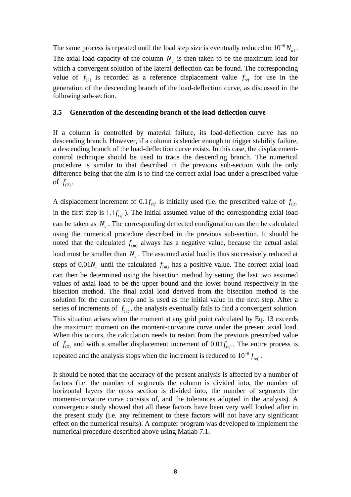The same process is repeated until the load step size is eventually reduced to  $10^{-6} N_{ul}$ . The axial load capacity of the column  $N<sub>u</sub>$  is then taken to be the maximum load for which a convergent solution of the lateral deflection can be found. The corresponding value of  $f_{(2)}$  is recorded as a reference displacement value  $f_{ref}$  for use in the generation of the descending branch of the load-deflection curve, as discussed in the following sub-section.

#### **3.5 Generation of the descending branch of the load-deflection curve**

If a column is controlled by material failure, its load-deflection curve has no descending branch. However, if a column is slender enough to trigger stability failure, a descending branch of the load-deflection curve exists. In this case, the displacementcontrol technique should be used to trace the descending branch. The numerical procedure is similar to that described in the previous sub-section with the only difference being that the aim is to find the correct axial load under a prescribed value of  $f_{(2)}$ .

A displacement increment of  $0.1 f_{ref}$  is initially used (i.e. the prescribed value of  $f_{(2)}$ ) in the first step is  $1.1 f_{ref}$ ). The initial assumed value of the corresponding axial load can be taken as  $N_u$ . The corresponding deflected configuration can then be calculated using the numerical procedure described in the previous sub-section. It should be noted that the calculated  $f_{(m)}$  always has a negative value, because the actual axial load must be smaller than  $N_u$ . The assumed axial load is thus successively reduced at steps of  $0.01 N_u$  until the calculated  $f_{(m)}$  has a positive value. The correct axial load can then be determined using the bisection method by setting the last two assumed values of axial load to be the upper bound and the lower bound respectively in the bisection method. The final axial load derived from the bisection method is the solution for the current step and is used as the initial value in the next step. After a series of increments of  $f_{(2)}$ , the analysis eventually fails to find a convergent solution. This situation arises when the moment at any grid point calculated by Eq. 13 exceeds the maximum moment on the moment-curvature curve under the present axial load. When this occurs, the calculation needs to restart from the previous prescribed value of  $f_{(2)}$  and with a smaller displacement increment of  $0.01 f_{ref}$ . The entire process is repeated and the analysis stops when the increment is reduced to  $10^{-6} f_{ref}$ .

It should be noted that the accuracy of the present analysis is affected by a number of factors (i.e. the number of segments the column is divided into, the number of horizontal layers the cross section is divided into, the number of segments the moment-curvature curve consists of, and the tolerances adopted in the analysis). A convergence study showed that all these factors have been very well looked after in the present study (i.e. any refinement to these factors will not have any significant effect on the numerical results). A computer program was developed to implement the numerical procedure described above using Matlab 7.1.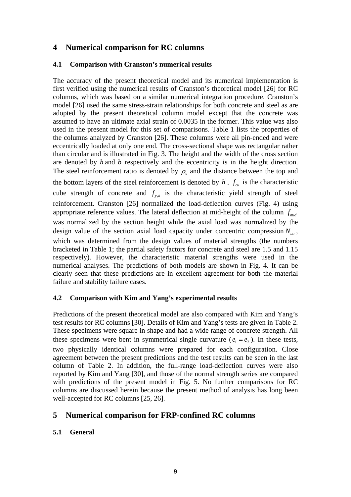# **4 Numerical comparison for RC columns**

### **4.1 Comparison with Cranston's numerical results**

The accuracy of the present theoretical model and its numerical implementation is first verified using the numerical results of Cranston's theoretical model [26] for RC columns, which was based on a similar numerical integration procedure. Cranston's model [26] used the same stress-strain relationships for both concrete and steel as are adopted by the present theoretical column model except that the concrete was assumed to have an ultimate axial strain of 0.0035 in the former. This value was also used in the present model for this set of comparisons. Table 1 lists the properties of the columns analyzed by Cranston [26]. These columns were all pin-ended and were eccentrically loaded at only one end. The cross-sectional shape was rectangular rather than circular and is illustrated in Fig. 3. The height and the width of the cross section are denoted by *h* and *b* respectively and the eccentricity is in the height direction. The steel reinforcement ratio is denoted by  $\rho$ , and the distance between the top and the bottom layers of the steel reinforcement is denoted by  $h$ .  $f_{cu}$  is the characteristic cube strength of concrete and  $f_{yk}$  is the characteristic yield strength of steel reinforcement. Cranston [26] normalized the load-deflection curves (Fig. 4) using appropriate reference values. The lateral deflection at mid-height of the column  $f_{mid}$ was normalized by the section height while the axial load was normalized by the design value of the section axial load capacity under concentric compression  $N_{u\omega}$ , which was determined from the design values of material strengths (the numbers bracketed in Table 1; the partial safety factors for concrete and steel are 1.5 and 1.15 respectively). However, the characteristic material strengths were used in the numerical analyses. The predictions of both models are shown in Fig. 4. It can be clearly seen that these predictions are in excellent agreement for both the material failure and stability failure cases.

### **4.2 Comparison with Kim and Yang's experimental results**

Predictions of the present theoretical model are also compared with Kim and Yang's test results for RC columns [30]. Details of Kim and Yang's tests are given in Table 2. These specimens were square in shape and had a wide range of concrete strength. All these specimens were bent in symmetrical single curvature  $(e_1 = e_2)$ . In these tests, two physically identical columns were prepared for each configuration. Close agreement between the present predictions and the test results can be seen in the last column of Table 2. In addition, the full-range load-deflection curves were also reported by Kim and Yang [30], and those of the normal strength series are compared with predictions of the present model in Fig. 5. No further comparisons for RC columns are discussed herein because the present method of analysis has long been well-accepted for RC columns [25, 26].

# **5 Numerical comparison for FRP-confined RC columns**

## **5.1 General**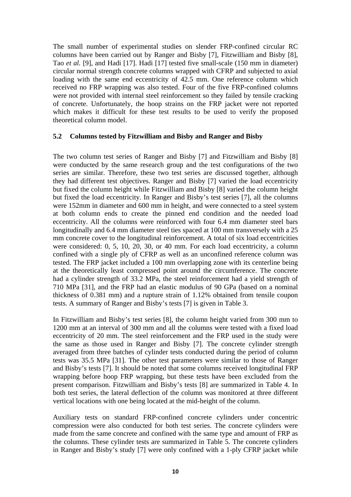The small number of experimental studies on slender FRP-confined circular RC columns have been carried out by Ranger and Bisby [7], Fitzwilliam and Bisby [8], Tao *et al.* [9], and Hadi [17]. Hadi [17] tested five small-scale (150 mm in diameter) circular normal strength concrete columns wrapped with CFRP and subjected to axial loading with the same end eccentricity of 42.5 mm. One reference column which received no FRP wrapping was also tested. Four of the five FRP-confined columns were not provided with internal steel reinforcement so they failed by tensile cracking of concrete. Unfortunately, the hoop strains on the FRP jacket were not reported which makes it difficult for these test results to be used to verify the proposed theoretical column model.

### **5.2 Columns tested by Fitzwilliam and Bisby and Ranger and Bisby**

The two column test series of Ranger and Bisby [7] and Fitzwilliam and Bisby [8] were conducted by the same research group and the test configurations of the two series are similar. Therefore, these two test series are discussed together, although they had different test objectives. Ranger and Bisby [7] varied the load eccentricity but fixed the column height while Fitzwilliam and Bisby [8] varied the column height but fixed the load eccentricity. In Ranger and Bisby's test series [7], all the columns were 152mm in diameter and 600 mm in height, and were connected to a steel system at both column ends to create the pinned end condition and the needed load eccentricity. All the columns were reinforced with four 6.4 mm diameter steel bars longitudinally and 6.4 mm diameter steel ties spaced at 100 mm transversely with a 25 mm concrete cover to the longitudinal reinforcement. A total of six load eccentricities were considered: 0, 5, 10, 20, 30, or 40 mm. For each load eccentricity, a column confined with a single ply of CFRP as well as an unconfined reference column was tested. The FRP jacket included a 100 mm overlapping zone with its centerline being at the theoretically least compressed point around the circumference. The concrete had a cylinder strength of 33.2 MPa, the steel reinforcement had a yield strength of 710 MPa [31], and the FRP had an elastic modulus of 90 GPa (based on a nominal thickness of 0.381 mm) and a rupture strain of 1.12% obtained from tensile coupon tests. A summary of Ranger and Bisby's tests [7] is given in Table 3.

In Fitzwilliam and Bisby's test series [8], the column height varied from 300 mm to 1200 mm at an interval of 300 mm and all the columns were tested with a fixed load eccentricity of 20 mm. The steel reinforcement and the FRP used in the study were the same as those used in Ranger and Bisby [7]. The concrete cylinder strength averaged from three batches of cylinder tests conducted during the period of column tests was 35.5 MPa [31]. The other test parameters were similar to those of Ranger and Bisby's tests [7]. It should be noted that some columns received longitudinal FRP wrapping before hoop FRP wrapping, but these tests have been excluded from the present comparison. Fitzwilliam and Bisby's tests [8] are summarized in Table 4. In both test series, the lateral deflection of the column was monitored at three different vertical locations with one being located at the mid-height of the column.

Auxiliary tests on standard FRP-confined concrete cylinders under concentric compression were also conducted for both test series. The concrete cylinders were made from the same concrete and confined with the same type and amount of FRP as the columns. These cylinder tests are summarized in Table 5. The concrete cylinders in Ranger and Bisby's study [7] were only confined with a 1-ply CFRP jacket while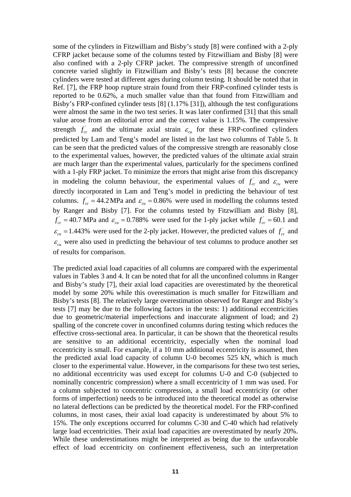some of the cylinders in Fitzwilliam and Bisby's study [8] were confined with a 2-ply CFRP jacket because some of the columns tested by Fitzwilliam and Bisby [8] were also confined with a 2-ply CFRP jacket. The compressive strength of unconfined concrete varied slightly in Fitzwilliam and Bisby's tests [8] because the concrete cylinders were tested at different ages during column testing. It should be noted that in Ref. [7], the FRP hoop rupture strain found from their FRP-confined cylinder tests is reported to be 0.62%, a much smaller value than that found from Fitzwilliam and Bisby's FRP-confined cylinder tests [8] (1.17% [31]), although the test configurations were almost the same in the two test series. It was later confirmed [31] that this small value arose from an editorial error and the correct value is 1.15%. The compressive strength  $f_{cc}$  and the ultimate axial strain  $\varepsilon_{cu}$  for these FRP-confined cylinders predicted by Lam and Teng's model are listed in the last two columns of Table 5. It can be seen that the predicted values of the compressive strength are reasonably close to the experimental values, however, the predicted values of the ultimate axial strain are much larger than the experimental values, particularly for the specimens confined with a 1-ply FRP jacket. To minimize the errors that might arise from this discrepancy in modeling the column behaviour, the experimental values of  $f_{cc}$  and  $\varepsilon_{cu}$  were directly incorporated in Lam and Teng's model in predicting the behaviour of test columns.  $f_{cc} = 44.2 \text{ MPa}$  and  $\varepsilon_{cu} = 0.86\%$  were used in modelling the columns tested by Ranger and Bisby [7]. For the columns tested by Fitzwilliam and Bisby [8],  $f_{cc}$  = 40.7 MPa and  $\varepsilon_{cu}$  = 0.788% were used for the 1-ply jacket while  $f_{cc}$  = 60.1 and  $\varepsilon_{cu} = 1.443\%$  were used for the 2-ply jacket. However, the predicted values of  $f_{cc}$  and  $\varepsilon_{cu}$  were also used in predicting the behaviour of test columns to produce another set of results for comparison.

The predicted axial load capacities of all columns are compared with the experimental values in Tables 3 and 4. It can be noted that for all the unconfined columns in Ranger and Bisby's study [7], their axial load capacities are overestimated by the theoretical model by some 20% while this overestimation is much smaller for Fitzwilliam and Bisby's tests [8]. The relatively large overestimation observed for Ranger and Bisby's tests [7] may be due to the following factors in the tests: 1) additional eccentricities due to geometric/material imperfections and inaccurate alignment of load; and 2) spalling of the concrete cover in unconfined columns during testing which reduces the effective cross-sectional area. In particular, it can be shown that the theoretical results are sensitive to an additional eccentricity, especially when the nominal load eccentricity is small. For example, if a 10 mm additional eccentricity is assumed, then the predicted axial load capacity of column U-0 becomes 525 kN, which is much closer to the experimental value. However, in the comparisons for these two test series, no additional eccentricity was used except for columns U-0 and C-0 (subjected to nominally concentric compression) where a small eccentricity of 1 mm was used. For a column subjected to concentric compression, a small load eccentricity (or other forms of imperfection) needs to be introduced into the theoretical model as otherwise no lateral deflections can be predicted by the theoretical model. For the FRP-confined columns, in most cases, their axial load capacity is underestimated by about 5% to 15%. The only exceptions occurred for columns C-30 and C-40 which had relatively large load eccentricities. Their axial load capacities are overestimated by nearly 20%. While these underestimations might be interpreted as being due to the unfavorable effect of load eccentricity on confinement effectiveness, such an interpretation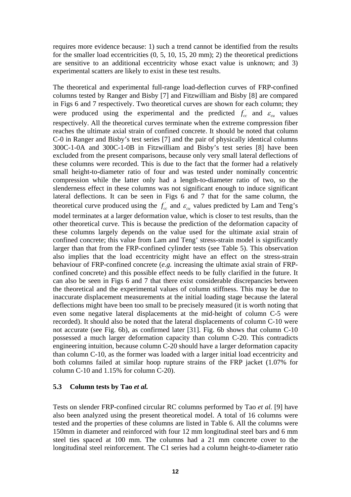requires more evidence because: 1) such a trend cannot be identified from the results for the smaller load eccentricities (0, 5, 10, 15, 20 mm); 2) the theoretical predictions are sensitive to an additional eccentricity whose exact value is unknown; and 3) experimental scatters are likely to exist in these test results.

The theoretical and experimental full-range load-deflection curves of FRP-confined columns tested by Ranger and Bisby [7] and Fitzwilliam and Bisby [8] are compared in Figs 6 and 7 respectively. Two theoretical curves are shown for each column; they were produced using the experimental and the predicted  $f_{cc}$  and  $\varepsilon_{cu}$  values respectively. All the theoretical curves terminate when the extreme compression fiber reaches the ultimate axial strain of confined concrete. It should be noted that column C-0 in Ranger and Bisby's test series [7] and the pair of physically identical columns 300C-1-0A and 300C-1-0B in Fitzwilliam and Bisby's test series [8] have been excluded from the present comparisons, because only very small lateral deflections of these columns were recorded. This is due to the fact that the former had a relatively small height-to-diameter ratio of four and was tested under nominally concentric compression while the latter only had a length-to-diameter ratio of two, so the slenderness effect in these columns was not significant enough to induce significant lateral deflections. It can be seen in Figs 6 and 7 that for the same column, the theoretical curve produced using the  $f_{cc}$  and  $\varepsilon_{cu}$  values predicted by Lam and Teng's model terminates at a larger deformation value, which is closer to test results, than the other theoretical curve. This is because the prediction of the deformation capacity of these columns largely depends on the value used for the ultimate axial strain of confined concrete; this value from Lam and Teng' stress-strain model is significantly larger than that from the FRP-confined cylinder tests (see Table 5). This observation also implies that the load eccentricity might have an effect on the stress-strain behaviour of FRP-confined concrete (*e.g.* increasing the ultimate axial strain of FRPconfined concrete) and this possible effect needs to be fully clarified in the future. It can also be seen in Figs 6 and 7 that there exist considerable discrepancies between the theoretical and the experimental values of column stiffness. This may be due to inaccurate displacement measurements at the initial loading stage because the lateral deflections might have been too small to be precisely measured (it is worth noting that even some negative lateral displacements at the mid-height of column C-5 were recorded). It should also be noted that the lateral displacements of column C-10 were not accurate (see Fig. 6b), as confirmed later [31]. Fig. 6b shows that column C-10 possessed a much larger deformation capacity than column C-20. This contradicts engineering intuition, because column C-20 should have a larger deformation capacity than column C-10, as the former was loaded with a larger initial load eccentricity and both columns failed at similar hoop rupture strains of the FRP jacket (1.07% for column C-10 and 1.15% for column C-20).

#### **5.3 Column tests by Tao** *et al.*

Tests on slender FRP-confined circular RC columns performed by Tao *et al.* [9] have also been analyzed using the present theoretical model. A total of 16 columns were tested and the properties of these columns are listed in Table 6. All the columns were 150mm in diameter and reinforced with four 12 mm longitudinal steel bars and 6 mm steel ties spaced at 100 mm. The columns had a 21 mm concrete cover to the longitudinal steel reinforcement. The C1 series had a column height-to-diameter ratio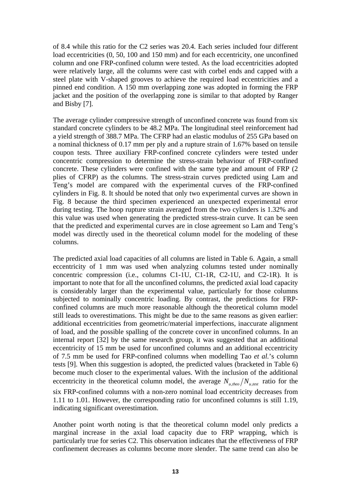of 8.4 while this ratio for the C2 series was 20.4. Each series included four different load eccentricities (0, 50, 100 and 150 mm) and for each eccentricity, one unconfined column and one FRP-confined column were tested. As the load eccentricities adopted were relatively large, all the columns were cast with corbel ends and capped with a steel plate with V-shaped grooves to achieve the required load eccentricities and a pinned end condition. A 150 mm overlapping zone was adopted in forming the FRP jacket and the position of the overlapping zone is similar to that adopted by Ranger and Bisby [7].

The average cylinder compressive strength of unconfined concrete was found from six standard concrete cylinders to be 48.2 MPa. The longitudinal steel reinforcement had a yield strength of 388.7 MPa. The CFRP had an elastic modulus of 255 GPa based on a nominal thickness of 0.17 mm per ply and a rupture strain of 1.67% based on tensile coupon tests. Three auxiliary FRP-confined concrete cylinders were tested under concentric compression to determine the stress-strain behaviour of FRP-confined concrete. These cylinders were confined with the same type and amount of FRP (2 plies of CFRP) as the columns. The stress-strain curves predicted using Lam and Teng's model are compared with the experimental curves of the FRP-confined cylinders in Fig. 8. It should be noted that only two experimental curves are shown in Fig. 8 because the third specimen experienced an unexpected experimental error during testing. The hoop rupture strain averaged from the two cylinders is 1.32% and this value was used when generating the predicted stress-strain curve. It can be seen that the predicted and experimental curves are in close agreement so Lam and Teng's model was directly used in the theoretical column model for the modeling of these columns.

The predicted axial load capacities of all columns are listed in Table 6. Again, a small eccentricity of 1 mm was used when analyzing columns tested under nominally concentric compression (i.e., columns C1-1U, C1-1R, C2-1U, and C2-1R). It is important to note that for all the unconfined columns, the predicted axial load capacity is considerably larger than the experimental value, particularly for those columns subjected to nominally concentric loading. By contrast, the predictions for FRPconfined columns are much more reasonable although the theoretical column model still leads to overestimations. This might be due to the same reasons as given earlier: additional eccentricities from geometric/material imperfections, inaccurate alignment of load, and the possible spalling of the concrete cover in unconfined columns. In an internal report [32] by the same research group, it was suggested that an additional eccentricity of 15 mm be used for unconfined columns and an additional eccentricity of 7.5 mm be used for FRP-confined columns when modelling Tao *et al.*'s column tests [9]. When this suggestion is adopted, the predicted values (bracketed in Table 6) become much closer to the experimental values. With the inclusion of the additional eccentricity in the theoretical column model, the average  $N_{u, \text{theo}}/N_{u, \text{test}}$  ratio for the six FRP-confined columns with a non-zero nominal load eccentricity decreases from 1.11 to 1.01. However, the corresponding ratio for unconfined columns is still 1.19, indicating significant overestimation.

Another point worth noting is that the theoretical column model only predicts a marginal increase in the axial load capacity due to FRP wrapping, which is particularly true for series C2. This observation indicates that the effectiveness of FRP confinement decreases as columns become more slender. The same trend can also be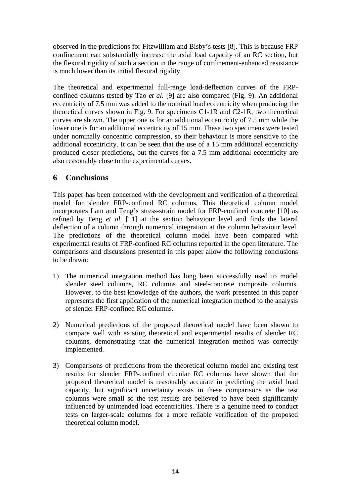observed in the predictions for Fitzwilliam and Bisby's tests [8]. This is because FRP confinement can substantially increase the axial load capacity of an RC section, but the flexural rigidity of such a section in the range of confinement-enhanced resistance is much lower than its initial flexural rigidity.

The theoretical and experimental full-range load-deflection curves of the FRPconfined columns tested by Tao *et al.* [9] are also compared (Fig. 9). An additional eccentricity of 7.5 mm was added to the nominal load eccentricity when producing the theoretical curves shown in Fig. 9. For specimens C1-1R and C2-1R, two theoretical curves are shown. The upper one is for an additional eccentricity of 7.5 mm while the lower one is for an additional eccentricity of 15 mm. These two specimens were tested under nominally concentric compression, so their behaviour is more sensitive to the additional eccentricity. It can be seen that the use of a 15 mm additional eccentricity produced closer predictions, but the curves for a 7.5 mm additional eccentricity are also reasonably close to the experimental curves.

# **6 Conclusions**

This paper has been concerned with the development and verification of a theoretical model for slender FRP-confined RC columns. This theoretical column model incorporates Lam and Teng's stress-strain model for FRP-confined concrete [10] as refined by Teng *et al.* [11] at the section behaviour level and finds the lateral deflection of a column through numerical integration at the column behaviour level. The predictions of the theoretical column model have been compared with experimental results of FRP-confined RC columns reported in the open literature. The comparisons and discussions presented in this paper allow the following conclusions to be drawn:

- 1) The numerical integration method has long been successfully used to model slender steel columns, RC columns and steel-concrete composite columns. However, to the best knowledge of the authors, the work presented in this paper represents the first application of the numerical integration method to the analysis of slender FRP-confined RC columns.
- 2) Numerical predictions of the proposed theoretical model have been shown to compare well with existing theoretical and experimental results of slender RC columns, demonstrating that the numerical integration method was correctly implemented.
- 3) Comparisons of predictions from the theoretical column model and existing test results for slender FRP-confined circular RC columns have shown that the proposed theoretical model is reasonably accurate in predicting the axial load capacity, but significant uncertainty exists in these comparisons as the test columns were small so the test results are believed to have been significantly influenced by unintended load eccentricities. There is a genuine need to conduct tests on larger-scale columns for a more reliable verification of the proposed theoretical column model.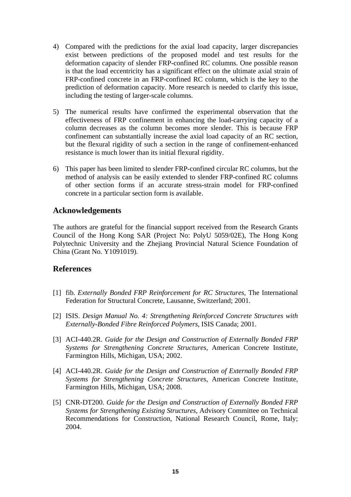- 4) Compared with the predictions for the axial load capacity, larger discrepancies exist between predictions of the proposed model and test results for the deformation capacity of slender FRP-confined RC columns. One possible reason is that the load eccentricity has a significant effect on the ultimate axial strain of FRP-confined concrete in an FRP-confined RC column, which is the key to the prediction of deformation capacity. More research is needed to clarify this issue, including the testing of larger-scale columns.
- 5) The numerical results have confirmed the experimental observation that the effectiveness of FRP confinement in enhancing the load-carrying capacity of a column decreases as the column becomes more slender. This is because FRP confinement can substantially increase the axial load capacity of an RC section, but the flexural rigidity of such a section in the range of confinement-enhanced resistance is much lower than its initial flexural rigidity.
- 6) This paper has been limited to slender FRP-confined circular RC columns, but the method of analysis can be easily extended to slender FRP-confined RC columns of other section forms if an accurate stress-strain model for FRP-confined concrete in a particular section form is available.

# **Acknowledgements**

The authors are grateful for the financial support received from the Research Grants Council of the Hong Kong SAR (Project No: PolyU 5059/02E), The Hong Kong Polytechnic University and the Zhejiang Provincial Natural Science Foundation of China (Grant No. Y1091019).

# **References**

- [1] fib. *Externally Bonded FRP Reinforcement for RC Structures*, The International Federation for Structural Concrete, Lausanne, Switzerland; 2001.
- [2] ISIS. *Design Manual No. 4: Strengthening Reinforced Concrete Structures with Externally-Bonded Fibre Reinforced Polymers*, ISIS Canada; 2001.
- [3] ACI-440.2R. *Guide for the Design and Construction of Externally Bonded FRP Systems for Strengthening Concrete Structures*, American Concrete Institute, Farmington Hills, Michigan, USA; 2002.
- [4] ACI-440.2R. *Guide for the Design and Construction of Externally Bonded FRP Systems for Strengthening Concrete Structures*, American Concrete Institute, Farmington Hills, Michigan, USA; 2008.
- [5] CNR-DT200. *Guide for the Design and Construction of Externally Bonded FRP Systems for Strengthening Existing Structures*, Advisory Committee on Technical Recommendations for Construction, National Research Council, Rome, Italy; 2004.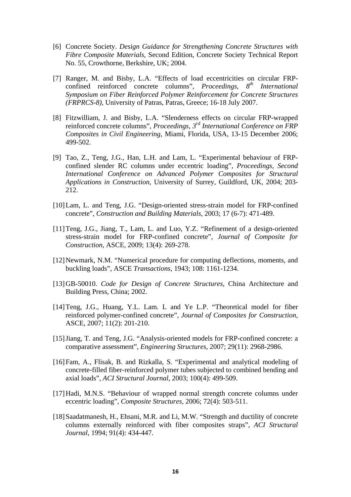- [6] Concrete Society. *Design Guidance for Strengthening Concrete Structures with Fibre Composite Materials*, Second Edition, Concrete Society Technical Report No. 55, Crowthorne, Berkshire, UK; 2004.
- [7] Ranger, M. and Bisby, L.A. "Effects of load eccentricities on circular FRPconfined reinforced concrete columns", *Proceedings, 8th International Symposium on Fiber Reinforced Polymer Reinforcement for Concrete Structures (FRPRCS-8)*, University of Patras, Patras, Greece; 16-18 July 2007.
- [8] Fitzwilliam, J. and Bisby, L.A. "Slenderness effects on circular FRP-wrapped reinforced concrete columns", *Proceedings, 3rd International Conference on FRP Composites in Civil Engineering*, Miami, Florida, USA, 13-15 December 2006; 499-502.
- [9] Tao, Z., Teng, J.G., Han, L.H. and Lam, L. "Experimental behaviour of FRPconfined slender RC columns under eccentric loading", *Proceedings, Second International Conference on Advanced Polymer Composites for Structural Applications in Construction*, University of Surrey, Guildford, UK, 2004; 203- 212.
- [10]Lam, L. and Teng, J.G. "Design-oriented stress-strain model for FRP-confined [concrete](http://wos.isiknowledge.com/?SID=W1GLipIbOIlFBIh3cgj&Func=Abstract&doc=1/2)", *Construction and Building Materials*, 2003; 17 (6-7): 471-489.
- [11]Teng, J.G., Jiang, T., Lam, L. and Luo, Y.Z. "Refinement of a design-oriented stress-strain model for FRP-confined concrete", *Journal of Composite for Construction*, ASCE, 2009; 13(4): 269-278.
- [12]Newmark, N.M. "Numerical procedure for computing deflections, moments, and buckling loads", ASCE *Transactions*, 1943; 108: 1161-1234.
- [13]GB-50010. *Code for Design of Concrete Structures*, China Architecture and Building Press, China; 2002.
- [14] Teng, J.G., Huang, Y.L. Lam. L and Ye L.P. "Theoretical model for fiber reinforced polymer-confined concrete", *Journal of Composites for Construction*, ASCE, 2007; 11(2): 201-210.
- [15] Jiang, T. and Teng, J.G. "Analysis-oriented models for FRP-confined concrete: a comparative assessment", *Engineering Structures*, 2007; 29(11): 2968-2986.
- [16] Fam, A., Flisak, B. and Rizkalla, S. "Experimental and analytical modeling of concrete-filled fiber-reinforced polymer tubes subjected to combined bending and axial loads", *ACI Structural Journal*, 2003; 100(4): 499-509.
- [17] Hadi, M.N.S. "Behaviour of wrapped normal strength concrete columns under eccentric loading", *Composite Structures*, 2006; 72(4): 503-511.
- [18]Saadatmanesh, H., Ehsani, M.R. and Li, M.W. "Strength and ductility of concrete columns externally reinforced with fiber composites straps", *ACI Structural Journal*, 1994; 91(4): 434-447.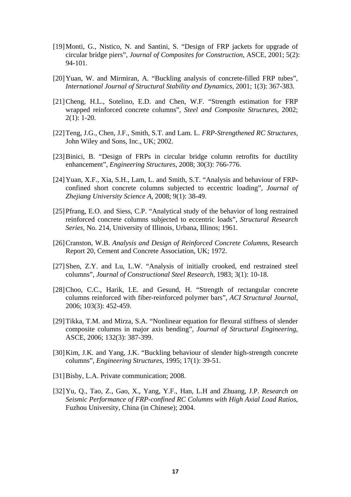- [19]Monti, G., Nistico, N. and Santini, S. "Design of FRP jackets for upgrade of circular bridge piers", *Journal of Composites for Construction*, ASCE, 2001; 5(2): 94-101.
- [20] Yuan, W. and Mirmiran, A. "Buckling analysis of concrete-filled FRP tubes", *International Journal of Structural Stability and Dynamics,* 2001; 1(3): 367-383.
- [21]Cheng, H.L., Sotelino, E.D. and Chen, W.F. "Strength estimation for FRP wrapped reinforced concrete columns", *Steel and Composite Structures*, 2002; 2(1): 1-20.
- [22]Teng, J.G., Chen, J.F., Smith, S.T. and Lam. L. *FRP-Strengthened RC Structures*, John Wiley and Sons, Inc., UK; 2002.
- [23]Binici, B. "Design of FRPs in circular bridge column retrofits for ductility enhancement", *Engineering Structures*, 2008; 30(3): 766-776.
- [24]Yuan, X.F., Xia, S.H., Lam, L. and Smith, S.T. "Analysis and behaviour of FRPconfined short concrete columns subjected to eccentric loading", *Journal of Zhejiang University Science A*, 2008; 9(1): 38-49.
- [25]Pfrang, E.O. and Siess, C.P. "Analytical study of the behavior of long restrained reinforced concrete columns subjected to eccentric loads", *Structural Research Series,* No. 214, University of Illinois, Urbana, Illinos; 1961.
- [26]Cranston, W.B. *Analysis and Design of Reinforced Concrete Columns*, Research Report 20, Cement and Concrete Association, UK; 1972.
- [27] Shen, Z.Y. and Lu, L.W. "Analysis of initially crooked, end restrained steel columns", *Journal of Constructional Steel Research*, 1983; 3(1): 10-18.
- [28]Choo, C.C., Harik, I.E. and Gesund, H. "Strength of rectangular concrete columns reinforced with fiber-reinforced polymer bars", *ACI Structural Journal*, 2006; 103(3): 452-459.
- [29]Tikka, T.M. and Mirza, S.A. "Nonlinear equation for flexural stiffness of slender composite columns in major axis bending", *Journal of Structural Engineering*, ASCE, 2006; 132(3): 387-399.
- [30]Kim, J.K. and Yang, J.K. "Buckling behaviour of slender high-strength concrete columns", *Engineering Structures*, 1995; 17(1): 39-51.
- [31]Bisby, L.A. Private communication; 2008.
- [32]Yu, Q., Tao, Z., Gao, X., Yang, Y.F., Han, L.H and Zhuang, J.P. *Research on Seismic Performance of FRP-confined RC Columns with High Axial Load Ratios*, Fuzhou University, China (in Chinese); 2004.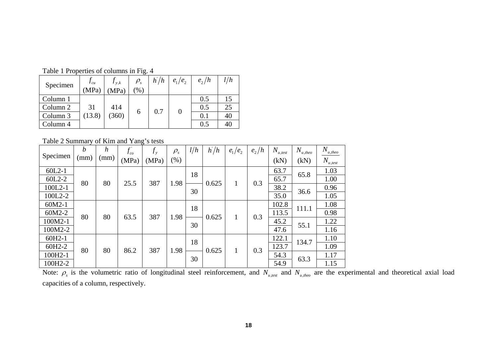Table 1 Properties of columns in Fig. 4

| Specimen | $J_{cu}$ | $J_{y,k}$ |      | h/h | $e_1/e_2$ | $e_2/h$ | l/h |
|----------|----------|-----------|------|-----|-----------|---------|-----|
|          | (MPa)    | (MPa)     | (96) |     |           |         |     |
| Column 1 |          |           |      |     |           | 0.5     | 15  |
| Column 2 | 31       | 414       |      | 0.7 |           | 0.5     | 25  |
| Column 3 | (13.8)   | (360)     | 6    |     |           | 0.1     | 40  |
| Column 4 |          |           |      |     |           | 0.5     | 40. |

Table 2 Summary of Kim and Yang's tests

|          | $\boldsymbol{b}$ | $\boldsymbol{h}$ | $f_{\scriptscriptstyle{co}}^{'}$ | $f_{\rm v}$ | $\rho_{\rm s}$ | l/h | h/h   | $e_1/e_2$    | $e_2/h$ | $N_{u, test}$ | $N_{u,theo}$ | $N_{u,theo}$  |
|----------|------------------|------------------|----------------------------------|-------------|----------------|-----|-------|--------------|---------|---------------|--------------|---------------|
| Specimen | (mm)             | (mm)             | (MPa)                            | (MPa)       | $(\% )$        |     |       |              |         | (kN)          | (kN)         | $N_{u, test}$ |
| $60L2-1$ |                  |                  |                                  |             |                | 18  |       |              |         | 63.7          | 65.8         | 1.03          |
| 60L2-2   | 80               | 80               | 25.5                             | 387         | 1.98           |     | 0.625 | $\mathbf{1}$ | 0.3     | 65.7          |              | 1.00          |
| 100L2-1  |                  |                  |                                  |             |                | 30  |       |              |         | 38.2          | 36.6         | 0.96          |
| 100L2-2  |                  |                  |                                  |             |                |     |       |              |         | 35.0          |              | 1.05          |
| 60M2-1   |                  |                  |                                  |             |                | 18  |       |              |         | 102.8         | 111.1        | 1.08          |
| 60M2-2   | 80               | 80               | 63.5                             | 387         | 1.98           |     | 0.625 | 1            | 0.3     | 113.5         |              | 0.98          |
| 100M2-1  |                  |                  |                                  |             |                |     |       |              |         | 45.2          |              | 1.22          |
| 100M2-2  |                  |                  |                                  |             |                | 30  |       |              |         | 47.6          | 55.1         | 1.16          |
| $60H2-1$ |                  |                  |                                  |             |                | 18  |       |              |         | 122.1         | 134.7        | 1.10          |
| 60H2-2   | 80               | 80               | 86.2                             | 387         | 1.98           |     | 0.625 | $\mathbf{1}$ | 0.3     | 123.7         |              | 1.09          |
| 100H2-1  |                  |                  |                                  |             |                | 30  |       |              |         | 54.3          | 63.3         | 1.17          |
| 100H2-2  |                  |                  |                                  |             |                |     |       |              |         | 54.9          |              | 1.15          |

Note:  $\rho_s$  is the volumetric ratio of longitudinal steel reinforcement, and  $N_{u, test}$  and  $N_{u, tree}$  are the experimental and theoretical axial load capacities of a column, respectively.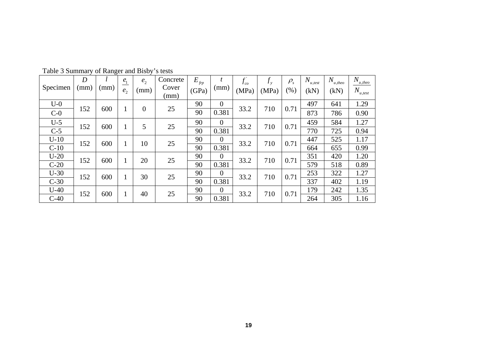|          | D    |      | $e_1$          | e <sub>2</sub> | Concrete | $E_{\text{frp}}$ | t              | $f^{\circ}$<br>$J_{co}$ | $f_{\rm v}$ | $\rho_{\rm s}$ | $N_{u, test}$ | $N_{u,theo}$ | $N_{u,theo}$      |
|----------|------|------|----------------|----------------|----------|------------------|----------------|-------------------------|-------------|----------------|---------------|--------------|-------------------|
| Specimen | (mm) | (mm) | e <sub>2</sub> | (mm)           | Cover    | (GPa)            | (mm)           | (MPa)                   | (MPa)       | (% )           | (kN)          | (kN)         | $N_{\rm u, test}$ |
|          |      |      |                |                | (mm)     |                  |                |                         |             |                |               |              |                   |
| $U-0$    | 152  | 600  |                | $\overline{0}$ | 25       | 90               | $\overline{0}$ | 33.2                    | 710         | 0.71           | 497           | 641          | 1.29              |
| $C-0$    |      |      |                |                |          | 90               | 0.381          |                         |             |                | 873           | 786          | 0.90              |
| $U-5$    | 152  | 600  |                | 5              | 25       | 90               | $\overline{0}$ | 33.2                    | 710         | 0.71           | 459           | 584          | 1.27              |
| $C-5$    |      |      |                |                |          | 90               | 0.381          |                         |             |                | 770           | 725          | 0.94              |
| $U-10$   | 152  | 600  | 1              | 10             | 25       | 90               | $\mathbf{0}$   | 33.2                    | 710         | 0.71           | 447           | 525          | 1.17              |
| $C-10$   |      |      |                |                |          | 90               | 0.381          |                         |             |                | 664           | 655          | 0.99              |
| $U-20$   | 152  | 600  |                | 20             | 25       | 90               | $\overline{0}$ | 33.2                    | 710         | 0.71           | 351           | 420          | 1.20              |
| $C-20$   |      |      |                |                |          | 90               | 0.381          |                         |             |                | 579           | 518          | 0.89              |
| $U-30$   | 152  | 600  |                | 30             | 25       | 90               | $\overline{0}$ | 33.2                    | 710         | 0.71           | 253           | 322          | 1.27              |
| $C-30$   |      |      |                |                | 90       | 0.381            |                |                         |             | 337            | 402           | 1.19         |                   |
| $U-40$   | 152  | 600  | 1              | 40             | 25       | 90               | $\overline{0}$ | 33.2                    | 710         | 0.71           | 179           | 242          | 1.35              |
| $C-40$   |      |      |                |                |          | 90               | 0.381          |                         |             |                | 264           | 305          | 1.16              |

Table 3 Summary of Ranger and Bisby's tests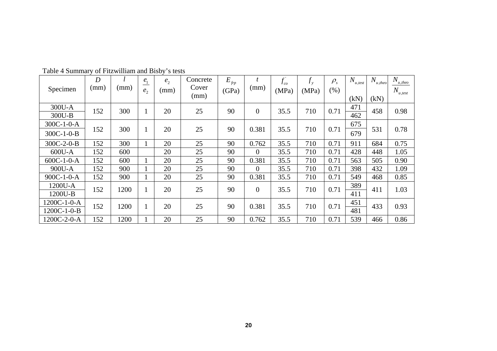| Specimen            | $\boldsymbol{D}$<br>(mm) | (mm) | $e_{1}$<br>e <sub>2</sub> | e <sub>2</sub><br>(mm) | Concrete<br>Cover<br>(mm) | $E_{\scriptscriptstyle frp}$<br>(GPa) | (mm)           | $J_{co}$<br>(MPa) | $f_{y}$<br>(MPa) | $\rho_{s}$<br>$(\%)$ | $N_{u, test}$<br>(kN) | $N_{u,theo}$<br>(kN) | $N_{u,theo}$<br>$N_{u, test}$ |
|---------------------|--------------------------|------|---------------------------|------------------------|---------------------------|---------------------------------------|----------------|-------------------|------------------|----------------------|-----------------------|----------------------|-------------------------------|
| 300U-A              | 152                      | 300  |                           | 20                     | 25                        | 90                                    | $\overline{0}$ | 35.5              | 710              | 0.71                 | 471                   | 458                  | 0.98                          |
| $300U-B$            |                          |      |                           |                        |                           |                                       |                |                   |                  |                      | 462                   |                      |                               |
| $300C - 1 - 0 - A$  |                          |      |                           |                        |                           |                                       |                |                   |                  |                      | 675                   |                      |                               |
| $300C - 1 - 0 - B$  | 152                      | 300  |                           | 20                     | 25                        | 90                                    | 0.381          | 35.5              | 710              | 0.71                 | 679                   | 531                  | 0.78                          |
| $300C - 2 - 0 - B$  | 152                      | 300  |                           | 20                     | 25                        | 90                                    | 0.762          | 35.5              | 710              | 0.71                 | 911                   | 684                  | 0.75                          |
| $600U-A$            | 152                      | 600  |                           | 20                     | 25                        | 90                                    | $\theta$       | 35.5              | 710              | 0.71                 | 428                   | 448                  | 1.05                          |
| $600C - 1 - 0 - A$  | 152                      | 600  |                           | 20                     | 25                        | 90                                    | 0.381          | 35.5              | 710              | 0.71                 | 563                   | 505                  | 0.90                          |
| 900U-A              | 152                      | 900  |                           | 20                     | 25                        | 90                                    | $\overline{0}$ | 35.5              | 710              | 0.71                 | 398                   | 432                  | 1.09                          |
| 900C-1-0-A          | 152                      | 900  |                           | 20                     | 25                        | 90                                    | 0.381          | 35.5              | 710              | 0.71                 | 549                   | 468                  | 0.85                          |
| 1200U-A             |                          | 1200 |                           | 20                     | 25                        | 90                                    | $\overline{0}$ | 35.5              | 710              | 0.71                 | 389                   | 411                  | 1.03                          |
| 1200U-B             | 152                      |      |                           |                        |                           |                                       |                |                   |                  |                      | 411                   |                      |                               |
| 1200C-1-0-A         | 152                      | 1200 |                           | 20                     | 25                        | 90                                    | 0.381          | 35.5              | 710              | 0.71                 | 451                   | 433                  | 0.93                          |
| $1200C - 1 - 0 - B$ |                          |      |                           |                        |                           |                                       |                |                   |                  |                      | 481                   |                      |                               |
| 1200C-2-0-A         | 152                      | 1200 |                           | 20                     | 25                        | 90                                    | 0.762          | 35.5              | 710              | 0.71                 | 539                   | 466                  | 0.86                          |

Table 4 Summary of Fitzwilliam and Bisby's tests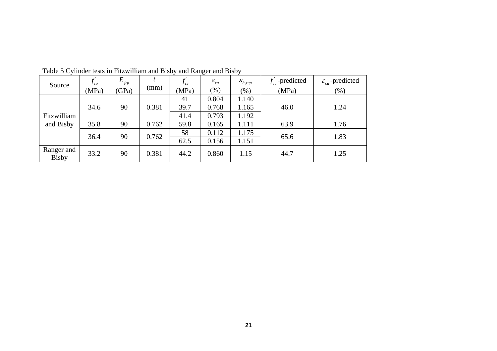| Source                     | $f_{co}^{'}$ | $E_{\text{frp}}$ | t     | $f_{cc}$ | $\varepsilon_{\scriptscriptstyle{cu}}$ | $\mathcal{E}_{h, rup}$ | $f_{cc}$ -predicted | $\varepsilon_{cu}$ -predicted |  |
|----------------------------|--------------|------------------|-------|----------|----------------------------------------|------------------------|---------------------|-------------------------------|--|
|                            | (MPa)        | (GPa)            | (mm)  | (MPa)    | (% )                                   | $(\% )$                | (MPa)               | (% )                          |  |
|                            |              |                  |       | 41       | 0.804                                  | 1.140                  |                     |                               |  |
|                            | 34.6         | 90               | 0.381 | 39.7     | 0.768                                  | 1.165                  | 46.0                | 1.24                          |  |
| Fitzwilliam                |              |                  |       | 41.4     | 0.793                                  | 1.192                  |                     |                               |  |
| and Bisby                  | 35.8         | 90               | 0.762 | 59.8     | 0.165                                  | 1.111                  | 63.9                | 1.76                          |  |
|                            | 36.4         | 90               | 0.762 | 58       | 0.112                                  | 1.175                  | 65.6                | 1.83                          |  |
|                            |              |                  |       | 62.5     | 0.156                                  | 1.151                  |                     |                               |  |
| Ranger and<br><b>Bisby</b> | 33.2         | 90               | 0.381 | 44.2     | 0.860                                  | 1.15                   | 44.7                | 1.25                          |  |

Table 5 Cylinder tests in Fitzwilliam and Bisby and Ranger and Bisby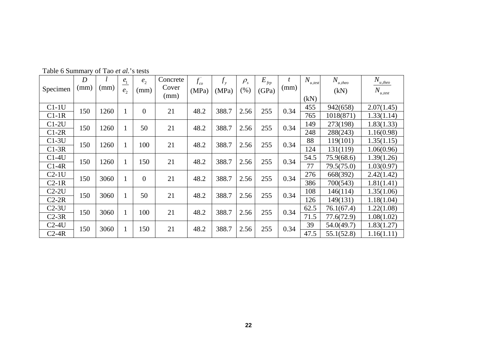|          | D    |      | $\frac{e_1}{e_1}$ | e <sub>2</sub> | Concrete | $f_{co}$ | $f_{y}$ | $\rho_{\rm s}$ | $E_{\text{frp}}$ |       | $N_{u, test}$ | $N_{u,theo}$ | $N_{u,theo}$  |      |            |            |
|----------|------|------|-------------------|----------------|----------|----------|---------|----------------|------------------|-------|---------------|--------------|---------------|------|------------|------------|
| Specimen | (mm) | (mm) | $e_{1}$           | (mm)           | Cover    | (MPa)    | (MPa)   | $(\% )$        | (GPa)            | (mm)  |               | (kN)         | $N_{u, test}$ |      |            |            |
|          |      |      |                   |                | (mm)     |          |         |                |                  |       | (kN)          |              |               |      |            |            |
| $C1-1U$  | 150  | 1260 |                   | $\overline{0}$ | 21       | 48.2     | 388.7   | 2.56           | 255              | 0.34  | 455           | 942(658)     | 2.07(1.45)    |      |            |            |
| $C1-1R$  |      |      |                   |                |          |          |         |                |                  |       | 765           | 1018(871)    | 1.33(1.14)    |      |            |            |
| $C1-2U$  | 150  | 1260 |                   | 50             | 21       | 48.2     | 388.7   | 2.56           | 255              | 0.34  | 149           | 273(198)     | 1.83(1.33)    |      |            |            |
| $C1-2R$  |      |      |                   |                |          |          |         |                |                  |       | 248           | 288(243)     | 1.16(0.98)    |      |            |            |
| $C1-3U$  | 150  | 1260 |                   | 100            | 21       | 48.2     | 388.7   | 2.56           | 255              | 0.34  | 88            | 119(101)     | 1.35(1.15)    |      |            |            |
| $C1-3R$  |      |      |                   |                |          |          |         |                |                  |       | 124           | 131(119)     | 1.06(0.96)    |      |            |            |
| $C1-4U$  | 150  | 1260 |                   |                |          |          | 150     | 21             | 48.2             | 388.7 | 2.56          | 255          | 0.34          | 54.5 | 75.9(68.6) | 1.39(1.26) |
| $C1-4R$  |      |      |                   |                |          |          |         |                |                  |       | 77            | 79.5(75.0)   | 1.03(0.97)    |      |            |            |
| $C2-1U$  | 150  | 3060 |                   | $\overline{0}$ | 21       | 48.2     | 388.7   | 2.56           | 255              | 0.34  | 276           | 668(392)     | 2.42(1.42)    |      |            |            |
| $C2-1R$  |      |      |                   |                |          |          |         |                |                  |       | 386           | 700(543)     | 1.81(1.41)    |      |            |            |
| $C2-2U$  | 150  | 3060 |                   | 50             | 21       | 48.2     | 388.7   | 2.56           | 255              | 0.34  | 108           | 146(114)     | 1.35(1.06)    |      |            |            |
| $C2-2R$  |      |      |                   |                |          |          |         |                |                  |       | 126           | 149(131)     | 1.18(1.04)    |      |            |            |
| $C2-3U$  | 150  | 3060 |                   | 100            | 21       | 48.2     | 388.7   | 2.56           | 255              | 0.34  | 62.5          | 76.1(67.4)   | 1.22(1.08)    |      |            |            |
| $C2-3R$  |      |      |                   |                |          |          |         |                |                  |       | 71.5          | 77.6(72.9)   | 1.08(1.02)    |      |            |            |
| $C2-4U$  | 150  | 3060 |                   | 150            | 21       | 48.2     | 388.7   | 2.56           | 255              | 0.34  | 39            | 54.0(49.7)   | 1.83(1.27)    |      |            |            |
| $C2-4R$  |      |      |                   |                |          |          |         |                |                  |       | 47.5          | 55.1(52.8)   | 1.16(1.11)    |      |            |            |

Table 6 Summary of Tao *et al.*'s tests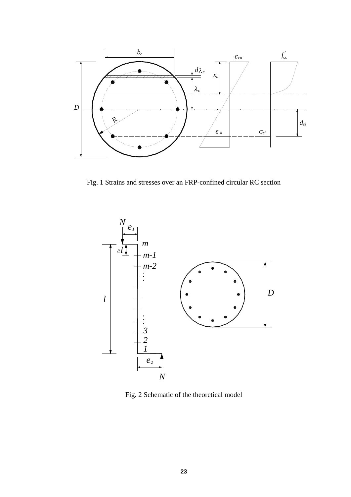

Fig. 1 Strains and stresses over an FRP-confined circular RC section



Fig. 2 Schematic of the theoretical model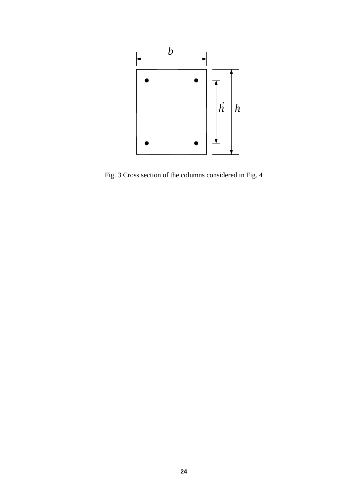

Fig. 3 Cross section of the columns considered in Fig. 4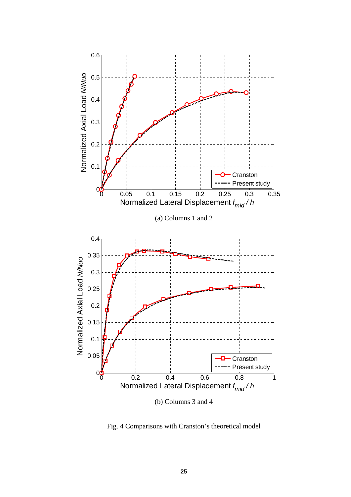

Fig. 4 Comparisons with Cranston's theoretical model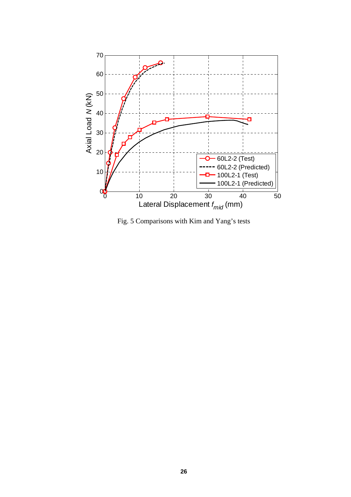

Fig. 5 Comparisons with Kim and Yang's tests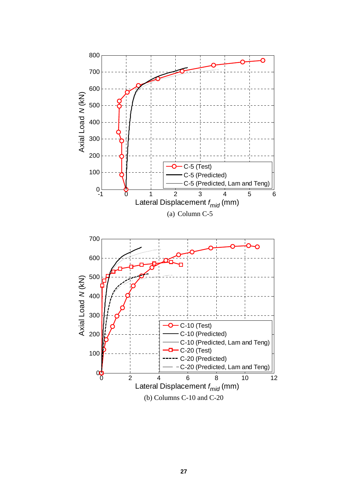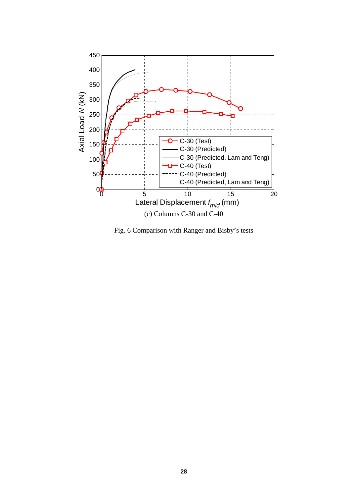

Fig. 6 Comparison with Ranger and Bisby's tests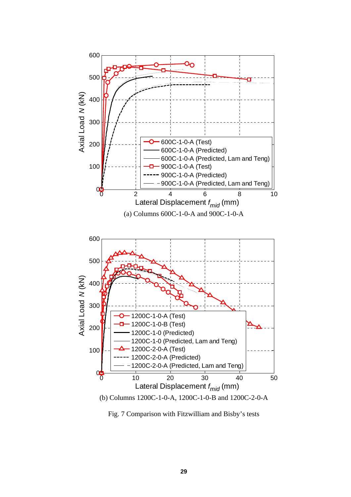

Fig. 7 Comparison with Fitzwilliam and Bisby's tests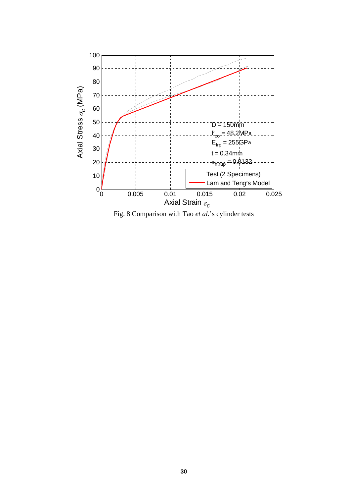

Fig. 8 Comparison with Tao *et al.*'s cylinder tests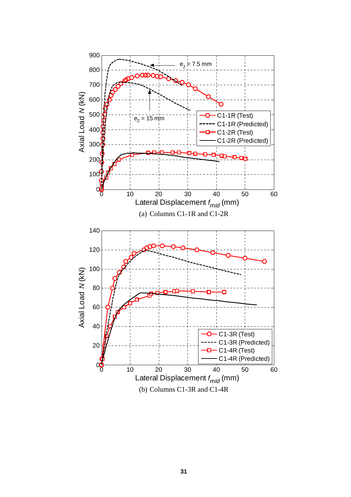